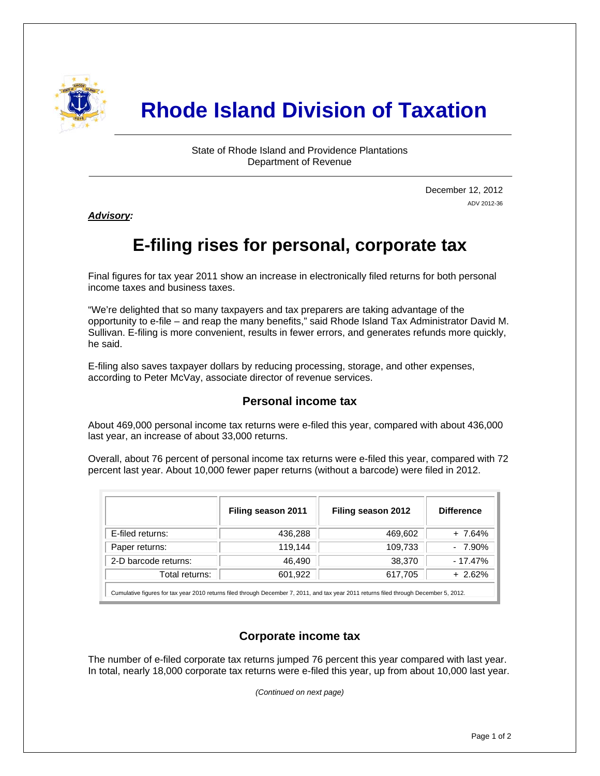

# **Rhode Island Division of Taxation**

State of Rhode Island and Providence Plantations Department of Revenue

> December 12, 2012 ADV 2012-36

*Advisory:* 

j

## **E-filing rises for personal, corporate tax**

Final figures for tax year 2011 show an increase in electronically filed returns for both personal income taxes and business taxes.

"We're delighted that so many taxpayers and tax preparers are taking advantage of the opportunity to e-file – and reap the many benefits," said Rhode Island Tax Administrator David M. Sullivan. E-filing is more convenient, results in fewer errors, and generates refunds more quickly, he said.

E-filing also saves taxpayer dollars by reducing processing, storage, and other expenses, according to Peter McVay, associate director of revenue services.

### **Personal income tax**

About 469,000 personal income tax returns were e-filed this year, compared with about 436,000 last year, an increase of about 33,000 returns.

Overall, about 76 percent of personal income tax returns were e-filed this year, compared with 72 percent last year. About 10,000 fewer paper returns (without a barcode) were filed in 2012.

|                                                                                                                                        | Filing season 2011 | Filing season 2012 | <b>Difference</b> |  |  |
|----------------------------------------------------------------------------------------------------------------------------------------|--------------------|--------------------|-------------------|--|--|
| E-filed returns:                                                                                                                       | 436,288            | 469,602            | + 7.64%           |  |  |
| Paper returns:                                                                                                                         | 119,144            | 109,733            | $-7.90\%$         |  |  |
| 2-D barcode returns:                                                                                                                   | 46.490             | 38,370             | $-17.47\%$        |  |  |
| Total returns:                                                                                                                         | 601,922            | 617,705            | $+2.62%$          |  |  |
| Cumulative figures for tax year 2010 returns filed through December 7, 2011, and tax year 2011 returns filed through December 5, 2012. |                    |                    |                   |  |  |

### **Corporate income tax**

The number of e-filed corporate tax returns jumped 76 percent this year compared with last year. In total, nearly 18,000 corporate tax returns were e-filed this year, up from about 10,000 last year.

*(Continued on next page)*